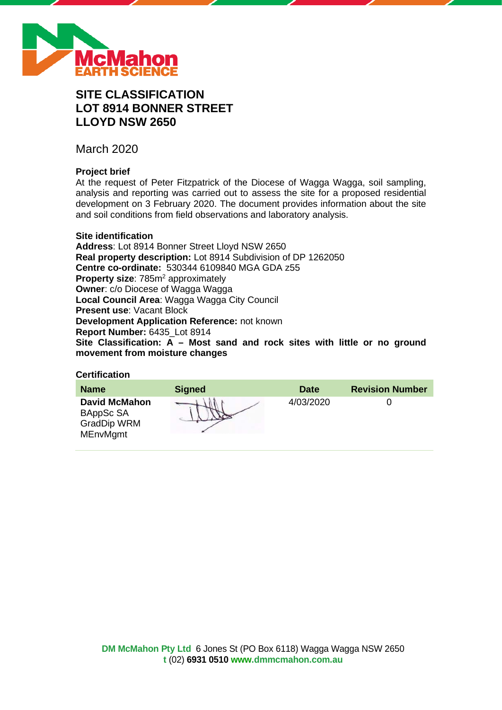

# **SITE CLASSIFICATION LOT 8914 BONNER STREET LLOYD NSW 2650**

March 2020

## **Project brief**

At the request of Peter Fitzpatrick of the Diocese of Wagga Wagga, soil sampling, analysis and reporting was carried out to assess the site for a proposed residential development on 3 February 2020. The document provides information about the site and soil conditions from field observations and laboratory analysis.

#### **Site identification**

**Address**: Lot 8914 Bonner Street Lloyd NSW 2650 **Real property description:** Lot 8914 Subdivision of DP 1262050 **Centre co-ordinate:** 530344 6109840 MGA GDA z55 **Property size:** 785m<sup>2</sup> approximately **Owner**: c/o Diocese of Wagga Wagga **Local Council Area**: Wagga Wagga City Council **Present use**: Vacant Block **Development Application Reference:** not known **Report Number:** 6435\_Lot 8914 **Site Classification: A – Most sand and rock sites with little or no ground movement from moisture changes**

#### **Certification**

| <b>Name</b>                                                                | <b>Signed</b> | <b>Date</b> | <b>Revision Number</b> |
|----------------------------------------------------------------------------|---------------|-------------|------------------------|
| <b>David McMahon</b><br>BAppSc SA<br><b>GradDip WRM</b><br><b>MEnvMgmt</b> |               | 4/03/2020   |                        |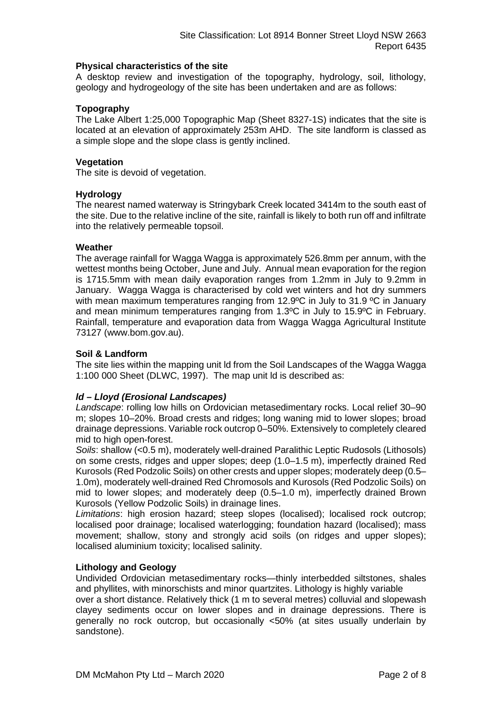#### **Physical characteristics of the site**

A desktop review and investigation of the topography, hydrology, soil, lithology, geology and hydrogeology of the site has been undertaken and are as follows:

#### **Topography**

The Lake Albert 1:25,000 Topographic Map (Sheet 8327-1S) indicates that the site is located at an elevation of approximately 253m AHD. The site landform is classed as a simple slope and the slope class is gently inclined.

#### **Vegetation**

The site is devoid of vegetation.

#### **Hydrology**

The nearest named waterway is Stringybark Creek located 3414m to the south east of the site. Due to the relative incline of the site, rainfall is likely to both run off and infiltrate into the relatively permeable topsoil.

#### **Weather**

The average rainfall for Wagga Wagga is approximately 526.8mm per annum, with the wettest months being October, June and July. Annual mean evaporation for the region is 1715.5mm with mean daily evaporation ranges from 1.2mm in July to 9.2mm in January. Wagga Wagga is characterised by cold wet winters and hot dry summers with mean maximum temperatures ranging from 12.9°C in July to 31.9 °C in January and mean minimum temperatures ranging from 1.3ºC in July to 15.9ºC in February. Rainfall, temperature and evaporation data from Wagga Wagga Agricultural Institute 73127 (www.bom.gov.au).

#### **Soil & Landform**

The site lies within the mapping unit ld from the Soil Landscapes of the Wagga Wagga 1:100 000 Sheet (DLWC, 1997). The map unit ld is described as:

### *ld – Lloyd (Erosional Landscapes)*

*Landscape*: rolling low hills on Ordovician metasedimentary rocks. Local relief 30–90 m; slopes 10–20%. Broad crests and ridges; long waning mid to lower slopes; broad drainage depressions. Variable rock outcrop 0–50%. Extensively to completely cleared mid to high open-forest.

*Soils*: shallow (<0.5 m), moderately well-drained Paralithic Leptic Rudosols (Lithosols) on some crests, ridges and upper slopes; deep (1.0–1.5 m), imperfectly drained Red Kurosols (Red Podzolic Soils) on other crests and upper slopes; moderately deep (0.5– 1.0m), moderately well-drained Red Chromosols and Kurosols (Red Podzolic Soils) on mid to lower slopes; and moderately deep (0.5–1.0 m), imperfectly drained Brown Kurosols (Yellow Podzolic Soils) in drainage lines.

*Limitations*: high erosion hazard; steep slopes (localised); localised rock outcrop; localised poor drainage; localised waterlogging; foundation hazard (localised); mass movement; shallow, stony and strongly acid soils (on ridges and upper slopes); localised aluminium toxicity; localised salinity.

#### **Lithology and Geology**

Undivided Ordovician metasedimentary rocks—thinly interbedded siltstones, shales and phyllites, with minorschists and minor quartzites. Lithology is highly variable

over a short distance. Relatively thick (1 m to several metres) colluvial and slopewash clayey sediments occur on lower slopes and in drainage depressions. There is generally no rock outcrop, but occasionally <50% (at sites usually underlain by sandstone).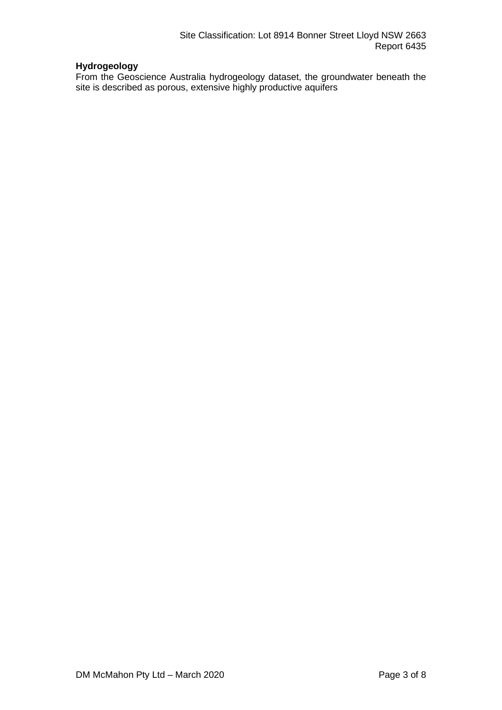## **Hydrogeology**

From the Geoscience Australia hydrogeology dataset, the groundwater beneath the site is described as porous, extensive highly productive aquifers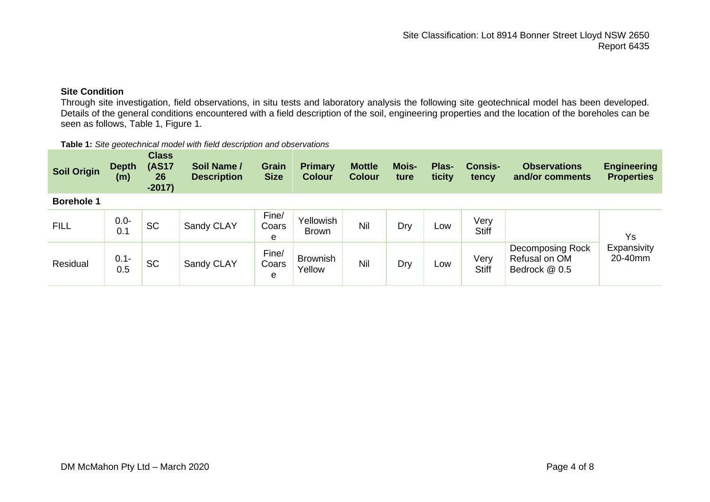## **Site Condition**

Through site investigation, field observations, in situ tests and laboratory analysis the following site geotechnical model has been developed. Details of the general conditions encountered with a field description of the soil, engineering properties and the location of the boreholes can be seen as follows, Table 1, Figure 1.

| Table 1: Site geotechnical model with field description and observations |  |
|--------------------------------------------------------------------------|--|
|--------------------------------------------------------------------------|--|

| <b>Soil Origin</b> | <b>Depth</b><br>(m) | <b>Class</b><br><b>(AS17</b><br>26<br>$-2017)$ | Soil Name /<br><b>Description</b> | Grain<br><b>Size</b> | <b>Primary</b><br><b>Colour</b> | <b>Mottle</b><br><b>Colour</b> | Mois-<br>ture | Plas-<br>ticity | <b>Consis-</b><br>tency | <b>Observations</b><br>and/or comments             | <b>Engineering</b><br><b>Properties</b> |
|--------------------|---------------------|------------------------------------------------|-----------------------------------|----------------------|---------------------------------|--------------------------------|---------------|-----------------|-------------------------|----------------------------------------------------|-----------------------------------------|
| <b>Borehole 1</b>  |                     |                                                |                                   |                      |                                 |                                |               |                 |                         |                                                    |                                         |
| <b>FILL</b>        | $0.0 -$<br>0.1      | <b>SC</b>                                      | Sandy CLAY                        | Fine/<br>Coars<br>e  | Yellowish<br><b>Brown</b>       | Nil                            | Dry           | Low             | Very<br><b>Stiff</b>    |                                                    | Ys                                      |
| Residual           | $0.1 -$<br>0.5      | <b>SC</b>                                      | Sandy CLAY                        | Fine/<br>Coars<br>e  | <b>Brownish</b><br>Yellow       | Nil                            | Dry           | Low             | Very<br><b>Stiff</b>    | Decomposing Rock<br>Refusal on OM<br>Bedrock @ 0.5 | Expansivity<br>20-40mm                  |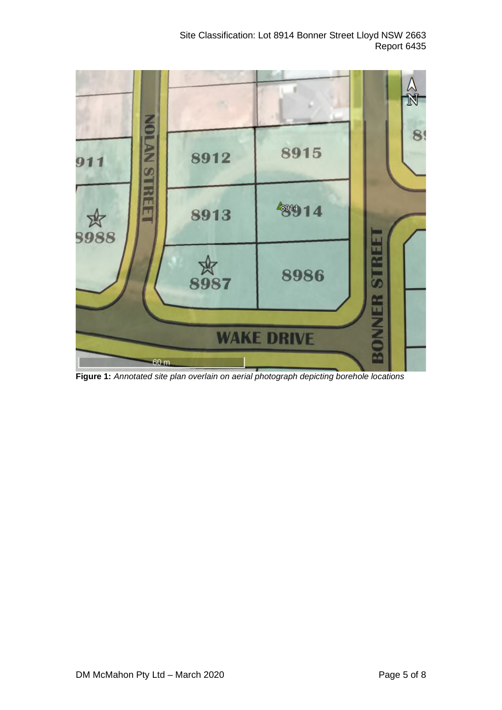Site Classification: Lot 8914 Bonner Street Lloyd NSW 2663 Report 6435



**Figure 1:** *Annotated site plan overlain on aerial photograph depicting borehole locations*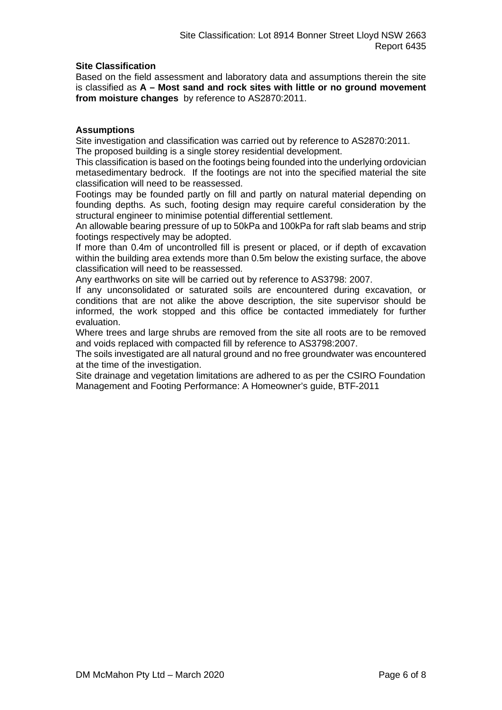#### **Site Classification**

Based on the field assessment and laboratory data and assumptions therein the site is classified as **A – Most sand and rock sites with little or no ground movement from moisture changes** by reference to AS2870:2011.

#### **Assumptions**

Site investigation and classification was carried out by reference to AS2870:2011. The proposed building is a single storey residential development.

This classification is based on the footings being founded into the underlying ordovician metasedimentary bedrock. If the footings are not into the specified material the site classification will need to be reassessed.

Footings may be founded partly on fill and partly on natural material depending on founding depths. As such, footing design may require careful consideration by the structural engineer to minimise potential differential settlement.

An allowable bearing pressure of up to 50kPa and 100kPa for raft slab beams and strip footings respectively may be adopted.

If more than 0.4m of uncontrolled fill is present or placed, or if depth of excavation within the building area extends more than 0.5m below the existing surface, the above classification will need to be reassessed.

Any earthworks on site will be carried out by reference to AS3798: 2007.

If any unconsolidated or saturated soils are encountered during excavation, or conditions that are not alike the above description, the site supervisor should be informed, the work stopped and this office be contacted immediately for further evaluation.

Where trees and large shrubs are removed from the site all roots are to be removed and voids replaced with compacted fill by reference to AS3798:2007.

The soils investigated are all natural ground and no free groundwater was encountered at the time of the investigation.

Site drainage and vegetation limitations are adhered to as per the CSIRO Foundation Management and Footing Performance: A Homeowner's guide, BTF-2011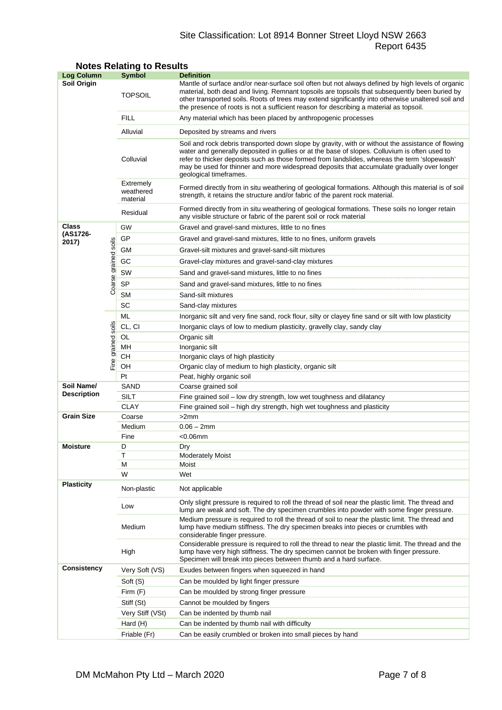## Site Classification: Lot 8914 Bonner Street Lloyd NSW 2663 Report 6435

| <b>Log Column</b>  |                      | <b>Symbol</b>                      | <b>Definition</b>                                                                                                                                                                                                                                                                                                                                                                                                          |  |  |  |
|--------------------|----------------------|------------------------------------|----------------------------------------------------------------------------------------------------------------------------------------------------------------------------------------------------------------------------------------------------------------------------------------------------------------------------------------------------------------------------------------------------------------------------|--|--|--|
| <b>Soil Origin</b> |                      | <b>TOPSOIL</b>                     | Mantle of surface and/or near-surface soil often but not always defined by high levels of organic<br>material, both dead and living. Remnant topsoils are topsoils that subsequently been buried by<br>other transported soils. Roots of trees may extend significantly into otherwise unaltered soil and<br>the presence of roots is not a sufficient reason for describing a material as topsoil.                        |  |  |  |
|                    |                      | <b>FILL</b>                        | Any material which has been placed by anthropogenic processes                                                                                                                                                                                                                                                                                                                                                              |  |  |  |
|                    |                      | Alluvial                           | Deposited by streams and rivers                                                                                                                                                                                                                                                                                                                                                                                            |  |  |  |
|                    |                      | Colluvial                          | Soil and rock debris transported down slope by gravity, with or without the assistance of flowing<br>water and generally deposited in gullies or at the base of slopes. Colluvium is often used to<br>refer to thicker deposits such as those formed from landslides, whereas the term 'slopewash'<br>may be used for thinner and more widespread deposits that accumulate gradually over longer<br>geological timeframes. |  |  |  |
|                    |                      | Extremely<br>weathered<br>material | Formed directly from in situ weathering of geological formations. Although this material is of soil<br>strength, it retains the structure and/or fabric of the parent rock material.                                                                                                                                                                                                                                       |  |  |  |
|                    |                      | Residual                           | Formed directly from in situ weathering of geological formations. These soils no longer retain<br>any visible structure or fabric of the parent soil or rock material                                                                                                                                                                                                                                                      |  |  |  |
| Class              |                      | GW                                 | Gravel and gravel-sand mixtures, little to no fines                                                                                                                                                                                                                                                                                                                                                                        |  |  |  |
| (AS1726-<br>2017)  |                      | GP                                 | Gravel and gravel-sand mixtures, little to no fines, uniform gravels                                                                                                                                                                                                                                                                                                                                                       |  |  |  |
|                    |                      | GМ                                 | Gravel-silt mixtures and gravel-sand-silt mixtures                                                                                                                                                                                                                                                                                                                                                                         |  |  |  |
|                    |                      | GC                                 | Gravel-clay mixtures and gravel-sand-clay mixtures                                                                                                                                                                                                                                                                                                                                                                         |  |  |  |
|                    |                      | SW                                 |                                                                                                                                                                                                                                                                                                                                                                                                                            |  |  |  |
|                    |                      |                                    | Sand and gravel-sand mixtures, little to no fines                                                                                                                                                                                                                                                                                                                                                                          |  |  |  |
|                    | Coarse grained soils | <b>SP</b>                          | Sand and gravel-sand mixtures, little to no fines                                                                                                                                                                                                                                                                                                                                                                          |  |  |  |
|                    |                      | <b>SM</b>                          | Sand-silt mixtures                                                                                                                                                                                                                                                                                                                                                                                                         |  |  |  |
|                    |                      | SC                                 | Sand-clay mixtures                                                                                                                                                                                                                                                                                                                                                                                                         |  |  |  |
|                    |                      | ML                                 | Inorganic silt and very fine sand, rock flour, silty or clayey fine sand or silt with low plasticity                                                                                                                                                                                                                                                                                                                       |  |  |  |
|                    | soils                | CL, CI                             | Inorganic clays of low to medium plasticity, gravelly clay, sandy clay                                                                                                                                                                                                                                                                                                                                                     |  |  |  |
|                    |                      | OL                                 | Organic silt                                                                                                                                                                                                                                                                                                                                                                                                               |  |  |  |
|                    | Fine grained         | MН<br>CН                           | Inorganic silt<br>Inorganic clays of high plasticity                                                                                                                                                                                                                                                                                                                                                                       |  |  |  |
|                    |                      | OН                                 | Organic clay of medium to high plasticity, organic silt                                                                                                                                                                                                                                                                                                                                                                    |  |  |  |
|                    |                      | Pt                                 | Peat, highly organic soil                                                                                                                                                                                                                                                                                                                                                                                                  |  |  |  |
| Soil Name/         |                      | SAND                               | Coarse grained soil                                                                                                                                                                                                                                                                                                                                                                                                        |  |  |  |
| <b>Description</b> |                      | SILT                               | Fine grained soil - low dry strength, low wet toughness and dilatancy                                                                                                                                                                                                                                                                                                                                                      |  |  |  |
|                    |                      | <b>CLAY</b>                        | Fine grained soil – high dry strength, high wet toughness and plasticity                                                                                                                                                                                                                                                                                                                                                   |  |  |  |
| <b>Grain Size</b>  |                      | Coarse                             | >2mm                                                                                                                                                                                                                                                                                                                                                                                                                       |  |  |  |
|                    |                      | Medium                             | $0.06 - 2mm$                                                                                                                                                                                                                                                                                                                                                                                                               |  |  |  |
|                    |                      | Fine                               | $<$ 0.06 $mm$                                                                                                                                                                                                                                                                                                                                                                                                              |  |  |  |
| <b>Moisture</b>    |                      | D                                  | Dry                                                                                                                                                                                                                                                                                                                                                                                                                        |  |  |  |
|                    |                      | Т                                  | <b>Moderately Moist</b>                                                                                                                                                                                                                                                                                                                                                                                                    |  |  |  |
|                    |                      | М<br>W                             | Moist<br>Wet                                                                                                                                                                                                                                                                                                                                                                                                               |  |  |  |
| <b>Plasticity</b>  |                      | Non-plastic                        | Not applicable                                                                                                                                                                                                                                                                                                                                                                                                             |  |  |  |
|                    |                      | Low                                | Only slight pressure is required to roll the thread of soil near the plastic limit. The thread and<br>lump are weak and soft. The dry specimen crumbles into powder with some finger pressure.                                                                                                                                                                                                                             |  |  |  |
|                    |                      | Medium                             | Medium pressure is required to roll the thread of soil to near the plastic limit. The thread and<br>lump have medium stiffness. The dry specimen breaks into pieces or crumbles with<br>considerable finger pressure.                                                                                                                                                                                                      |  |  |  |
|                    |                      | High                               | Considerable pressure is required to roll the thread to near the plastic limit. The thread and the<br>lump have very high stiffness. The dry specimen cannot be broken with finger pressure.<br>Specimen will break into pieces between thumb and a hard surface.                                                                                                                                                          |  |  |  |
| <b>Consistency</b> |                      | Very Soft (VS)                     | Exudes between fingers when squeezed in hand                                                                                                                                                                                                                                                                                                                                                                               |  |  |  |
|                    |                      | Soft (S)                           | Can be moulded by light finger pressure                                                                                                                                                                                                                                                                                                                                                                                    |  |  |  |
|                    |                      | Firm (F)                           | Can be moulded by strong finger pressure                                                                                                                                                                                                                                                                                                                                                                                   |  |  |  |
|                    |                      | Stiff (St)                         | Cannot be moulded by fingers                                                                                                                                                                                                                                                                                                                                                                                               |  |  |  |
|                    |                      | Very Stiff (VSt)                   | Can be indented by thumb nail                                                                                                                                                                                                                                                                                                                                                                                              |  |  |  |
|                    |                      | Hard (H)                           | Can be indented by thumb nail with difficulty                                                                                                                                                                                                                                                                                                                                                                              |  |  |  |
|                    |                      | Friable (Fr)                       | Can be easily crumbled or broken into small pieces by hand                                                                                                                                                                                                                                                                                                                                                                 |  |  |  |

## **Notes Relating to Results**